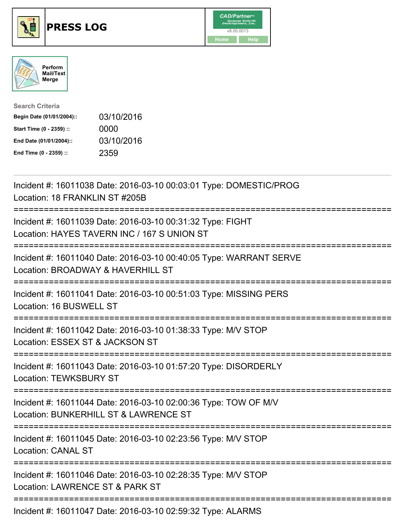





| <b>Search Criteria</b>    |            |
|---------------------------|------------|
| Begin Date (01/01/2004):: | 03/10/2016 |
| Start Time (0 - 2359) ::  | 0000       |
| End Date (01/01/2004)::   | 03/10/2016 |
| End Time (0 - 2359) ::    | 2359       |

| Incident #: 16011038 Date: 2016-03-10 00:03:01 Type: DOMESTIC/PROG<br>Location: 18 FRANKLIN ST #205B                                               |
|----------------------------------------------------------------------------------------------------------------------------------------------------|
| Incident #: 16011039 Date: 2016-03-10 00:31:32 Type: FIGHT<br>Location: HAYES TAVERN INC / 167 S UNION ST                                          |
| Incident #: 16011040 Date: 2016-03-10 00:40:05 Type: WARRANT SERVE<br>Location: BROADWAY & HAVERHILL ST                                            |
| Incident #: 16011041 Date: 2016-03-10 00:51:03 Type: MISSING PERS<br>Location: 16 BUSWELL ST<br>:===============                                   |
| Incident #: 16011042 Date: 2016-03-10 01:38:33 Type: M/V STOP<br>Location: ESSEX ST & JACKSON ST<br>-----------                                    |
| :=====================<br>Incident #: 16011043 Date: 2016-03-10 01:57:20 Type: DISORDERLY<br><b>Location: TEWKSBURY ST</b><br>==================== |
| Incident #: 16011044 Date: 2016-03-10 02:00:36 Type: TOW OF M/V<br>Location: BUNKERHILL ST & LAWRENCE ST                                           |
| ----------------------<br>Incident #: 16011045 Date: 2016-03-10 02:23:56 Type: M/V STOP<br><b>Location: CANAL ST</b><br>-----------------          |
| Incident #: 16011046 Date: 2016-03-10 02:28:35 Type: M/V STOP<br>Location: LAWRENCE ST & PARK ST                                                   |
| ------------<br>Incident #: 16011047 Date: 2016-03-10 02:59:32 Type: ALARMS                                                                        |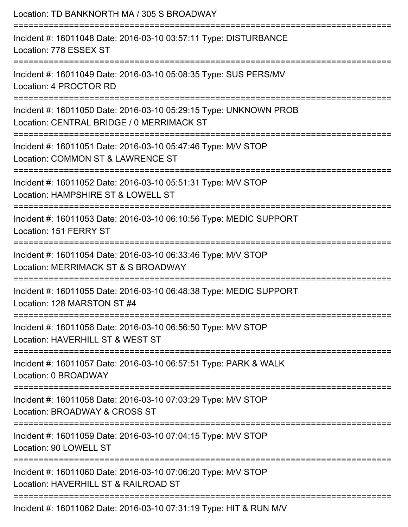| Location: TD BANKNORTH MA / 305 S BROADWAY                                                                               |
|--------------------------------------------------------------------------------------------------------------------------|
| Incident #: 16011048 Date: 2016-03-10 03:57:11 Type: DISTURBANCE<br>Location: 778 ESSEX ST                               |
| Incident #: 16011049 Date: 2016-03-10 05:08:35 Type: SUS PERS/MV<br>Location: 4 PROCTOR RD                               |
| Incident #: 16011050 Date: 2016-03-10 05:29:15 Type: UNKNOWN PROB<br>Location: CENTRAL BRIDGE / 0 MERRIMACK ST           |
| Incident #: 16011051 Date: 2016-03-10 05:47:46 Type: M/V STOP<br>Location: COMMON ST & LAWRENCE ST                       |
| Incident #: 16011052 Date: 2016-03-10 05:51:31 Type: M/V STOP<br>Location: HAMPSHIRE ST & LOWELL ST                      |
| Incident #: 16011053 Date: 2016-03-10 06:10:56 Type: MEDIC SUPPORT<br>Location: 151 FERRY ST                             |
| Incident #: 16011054 Date: 2016-03-10 06:33:46 Type: M/V STOP<br>Location: MERRIMACK ST & S BROADWAY                     |
| Incident #: 16011055 Date: 2016-03-10 06:48:38 Type: MEDIC SUPPORT<br>Location: 128 MARSTON ST #4                        |
| Incident #: 16011056 Date: 2016-03-10 06:56:50 Type: M/V STOP<br>Location: HAVERHILL ST & WEST ST                        |
| Incident #: 16011057 Date: 2016-03-10 06:57:51 Type: PARK & WALK<br>Location: 0 BROADWAY                                 |
| ----------------------<br>Incident #: 16011058 Date: 2016-03-10 07:03:29 Type: M/V STOP<br>Location: BROADWAY & CROSS ST |
| Incident #: 16011059 Date: 2016-03-10 07:04:15 Type: M/V STOP<br>Location: 90 LOWELL ST                                  |
| Incident #: 16011060 Date: 2016-03-10 07:06:20 Type: M/V STOP<br>Location: HAVERHILL ST & RAILROAD ST                    |
| Incident #: 16011062 Date: 2016-03-10 07:31:19 Type: HIT & RUN M/V                                                       |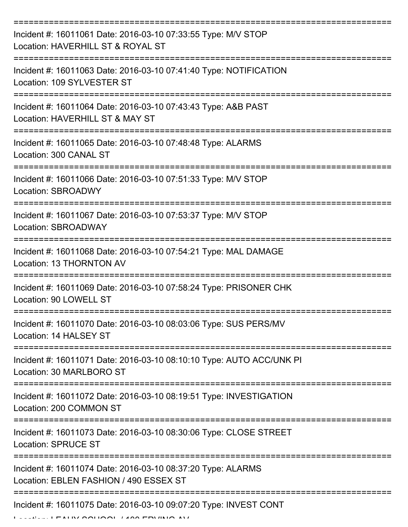| Incident #: 16011061 Date: 2016-03-10 07:33:55 Type: M/V STOP<br>Location: HAVERHILL ST & ROYAL ST    |
|-------------------------------------------------------------------------------------------------------|
| Incident #: 16011063 Date: 2016-03-10 07:41:40 Type: NOTIFICATION<br>Location: 109 SYLVESTER ST       |
| Incident #: 16011064 Date: 2016-03-10 07:43:43 Type: A&B PAST<br>Location: HAVERHILL ST & MAY ST      |
| Incident #: 16011065 Date: 2016-03-10 07:48:48 Type: ALARMS<br>Location: 300 CANAL ST                 |
| Incident #: 16011066 Date: 2016-03-10 07:51:33 Type: M/V STOP<br>Location: SBROADWY                   |
| Incident #: 16011067 Date: 2016-03-10 07:53:37 Type: M/V STOP<br>Location: SBROADWAY                  |
| Incident #: 16011068 Date: 2016-03-10 07:54:21 Type: MAL DAMAGE<br>Location: 13 THORNTON AV           |
| Incident #: 16011069 Date: 2016-03-10 07:58:24 Type: PRISONER CHK<br>Location: 90 LOWELL ST           |
| Incident #: 16011070 Date: 2016-03-10 08:03:06 Type: SUS PERS/MV<br>Location: 14 HALSEY ST            |
| Incident #: 16011071 Date: 2016-03-10 08:10:10 Type: AUTO ACC/UNK PI<br>Location: 30 MARLBORO ST      |
| Incident #: 16011072 Date: 2016-03-10 08:19:51 Type: INVESTIGATION<br>Location: 200 COMMON ST         |
| Incident #: 16011073 Date: 2016-03-10 08:30:06 Type: CLOSE STREET<br><b>Location: SPRUCE ST</b>       |
| Incident #: 16011074 Date: 2016-03-10 08:37:20 Type: ALARMS<br>Location: EBLEN FASHION / 490 ESSEX ST |
| Incident #: 16011075 Date: 2016-03-10 09:07:20 Type: INVEST CONT                                      |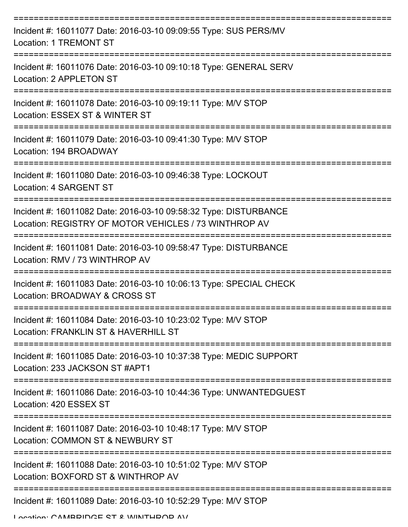| Incident #: 16011077 Date: 2016-03-10 09:09:55 Type: SUS PERS/MV<br><b>Location: 1 TREMONT ST</b>                         |
|---------------------------------------------------------------------------------------------------------------------------|
| Incident #: 16011076 Date: 2016-03-10 09:10:18 Type: GENERAL SERV<br>Location: 2 APPLETON ST                              |
| Incident #: 16011078 Date: 2016-03-10 09:19:11 Type: M/V STOP<br>Location: ESSEX ST & WINTER ST                           |
| Incident #: 16011079 Date: 2016-03-10 09:41:30 Type: M/V STOP<br>Location: 194 BROADWAY                                   |
| Incident #: 16011080 Date: 2016-03-10 09:46:38 Type: LOCKOUT<br>Location: 4 SARGENT ST                                    |
| Incident #: 16011082 Date: 2016-03-10 09:58:32 Type: DISTURBANCE<br>Location: REGISTRY OF MOTOR VEHICLES / 73 WINTHROP AV |
| Incident #: 16011081 Date: 2016-03-10 09:58:47 Type: DISTURBANCE<br>Location: RMV / 73 WINTHROP AV                        |
| Incident #: 16011083 Date: 2016-03-10 10:06:13 Type: SPECIAL CHECK<br>Location: BROADWAY & CROSS ST                       |
| Incident #: 16011084 Date: 2016-03-10 10:23:02 Type: M/V STOP<br>Location: FRANKLIN ST & HAVERHILL ST                     |
| Incident #: 16011085 Date: 2016-03-10 10:37:38 Type: MEDIC SUPPORT<br>Location: 233 JACKSON ST #APT1                      |
| Incident #: 16011086 Date: 2016-03-10 10:44:36 Type: UNWANTEDGUEST<br>Location: 420 ESSEX ST                              |
| Incident #: 16011087 Date: 2016-03-10 10:48:17 Type: M/V STOP<br>Location: COMMON ST & NEWBURY ST                         |
| Incident #: 16011088 Date: 2016-03-10 10:51:02 Type: M/V STOP<br>Location: BOXFORD ST & WINTHROP AV                       |
| Incident #: 16011089 Date: 2016-03-10 10:52:29 Type: M/V STOP                                                             |

Location: CAMBBIDGE ST & WINTHBOD AV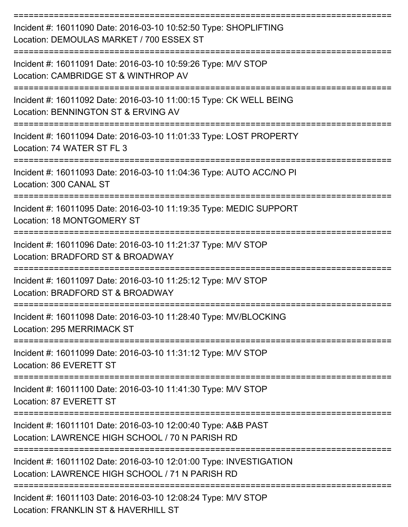| Incident #: 16011090 Date: 2016-03-10 10:52:50 Type: SHOPLIFTING<br>Location: DEMOULAS MARKET / 700 ESSEX ST                                                            |
|-------------------------------------------------------------------------------------------------------------------------------------------------------------------------|
| Incident #: 16011091 Date: 2016-03-10 10:59:26 Type: M/V STOP<br>Location: CAMBRIDGE ST & WINTHROP AV                                                                   |
| Incident #: 16011092 Date: 2016-03-10 11:00:15 Type: CK WELL BEING<br>Location: BENNINGTON ST & ERVING AV                                                               |
| Incident #: 16011094 Date: 2016-03-10 11:01:33 Type: LOST PROPERTY<br>Location: 74 WATER ST FL 3                                                                        |
| Incident #: 16011093 Date: 2016-03-10 11:04:36 Type: AUTO ACC/NO PI<br>Location: 300 CANAL ST                                                                           |
| Incident #: 16011095 Date: 2016-03-10 11:19:35 Type: MEDIC SUPPORT<br>Location: 18 MONTGOMERY ST                                                                        |
| Incident #: 16011096 Date: 2016-03-10 11:21:37 Type: M/V STOP<br>Location: BRADFORD ST & BROADWAY                                                                       |
| =============<br>Incident #: 16011097 Date: 2016-03-10 11:25:12 Type: M/V STOP<br>Location: BRADFORD ST & BROADWAY                                                      |
| Incident #: 16011098 Date: 2016-03-10 11:28:40 Type: MV/BLOCKING<br>Location: 295 MERRIMACK ST                                                                          |
| Incident #: 16011099 Date: 2016-03-10 11:31:12 Type: M/V STOP<br>Location: 86 EVERETT ST                                                                                |
| Incident #: 16011100 Date: 2016-03-10 11:41:30 Type: M/V STOP<br>Location: 87 EVERETT ST                                                                                |
| Incident #: 16011101 Date: 2016-03-10 12:00:40 Type: A&B PAST<br>Location: LAWRENCE HIGH SCHOOL / 70 N PARISH RD                                                        |
| Incident #: 16011102 Date: 2016-03-10 12:01:00 Type: INVESTIGATION<br>Location: LAWRENCE HIGH SCHOOL / 71 N PARISH RD                                                   |
| ==============================<br>----------------------------<br>Incident #: 16011103 Date: 2016-03-10 12:08:24 Type: M/V STOP<br>Location: FRANKLIN ST & HAVERHILL ST |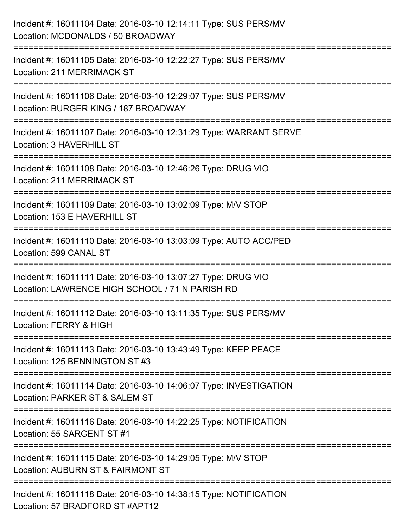| Incident #: 16011104 Date: 2016-03-10 12:14:11 Type: SUS PERS/MV<br>Location: MCDONALDS / 50 BROADWAY                                                             |
|-------------------------------------------------------------------------------------------------------------------------------------------------------------------|
| ====================<br>Incident #: 16011105 Date: 2016-03-10 12:22:27 Type: SUS PERS/MV<br><b>Location: 211 MERRIMACK ST</b>                                     |
| Incident #: 16011106 Date: 2016-03-10 12:29:07 Type: SUS PERS/MV<br>Location: BURGER KING / 187 BROADWAY<br>======================<br>--------------------------- |
| Incident #: 16011107 Date: 2016-03-10 12:31:29 Type: WARRANT SERVE<br>Location: 3 HAVERHILL ST                                                                    |
| Incident #: 16011108 Date: 2016-03-10 12:46:26 Type: DRUG VIO<br><b>Location: 211 MERRIMACK ST</b>                                                                |
| Incident #: 16011109 Date: 2016-03-10 13:02:09 Type: M/V STOP<br>Location: 153 E HAVERHILL ST                                                                     |
| Incident #: 16011110 Date: 2016-03-10 13:03:09 Type: AUTO ACC/PED<br>Location: 599 CANAL ST                                                                       |
| Incident #: 16011111 Date: 2016-03-10 13:07:27 Type: DRUG VIO<br>Location: LAWRENCE HIGH SCHOOL / 71 N PARISH RD                                                  |
| Incident #: 16011112 Date: 2016-03-10 13:11:35 Type: SUS PERS/MV<br>Location: FERRY & HIGH                                                                        |
| Incident #: 16011113 Date: 2016-03-10 13:43:49 Type: KEEP PEACE<br>Location: 125 BENNINGTON ST #3                                                                 |
| Incident #: 16011114 Date: 2016-03-10 14:06:07 Type: INVESTIGATION<br>Location: PARKER ST & SALEM ST                                                              |
| Incident #: 16011116 Date: 2016-03-10 14:22:25 Type: NOTIFICATION<br>Location: 55 SARGENT ST #1                                                                   |
| Incident #: 16011115 Date: 2016-03-10 14:29:05 Type: M/V STOP<br>Location: AUBURN ST & FAIRMONT ST                                                                |
| Incident #: 16011118 Date: 2016-03-10 14:38:15 Type: NOTIFICATION<br>Location: 57 BRADFORD ST #APT12                                                              |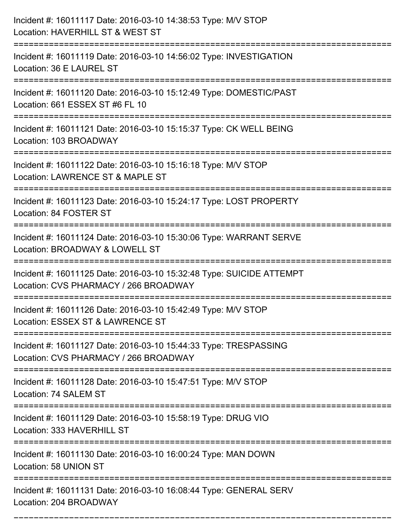| Incident #: 16011117 Date: 2016-03-10 14:38:53 Type: M/V STOP<br>Location: HAVERHILL ST & WEST ST             |
|---------------------------------------------------------------------------------------------------------------|
| Incident #: 16011119 Date: 2016-03-10 14:56:02 Type: INVESTIGATION<br>Location: 36 E LAUREL ST                |
| Incident #: 16011120 Date: 2016-03-10 15:12:49 Type: DOMESTIC/PAST<br>Location: 661 ESSEX ST #6 FL 10         |
| Incident #: 16011121 Date: 2016-03-10 15:15:37 Type: CK WELL BEING<br>Location: 103 BROADWAY                  |
| Incident #: 16011122 Date: 2016-03-10 15:16:18 Type: M/V STOP<br>Location: LAWRENCE ST & MAPLE ST             |
| Incident #: 16011123 Date: 2016-03-10 15:24:17 Type: LOST PROPERTY<br>Location: 84 FOSTER ST                  |
| Incident #: 16011124 Date: 2016-03-10 15:30:06 Type: WARRANT SERVE<br>Location: BROADWAY & LOWELL ST          |
| Incident #: 16011125 Date: 2016-03-10 15:32:48 Type: SUICIDE ATTEMPT<br>Location: CVS PHARMACY / 266 BROADWAY |
| Incident #: 16011126 Date: 2016-03-10 15:42:49 Type: M/V STOP<br>Location: ESSEX ST & LAWRENCE ST             |
| Incident #: 16011127 Date: 2016-03-10 15:44:33 Type: TRESPASSING<br>Location: CVS PHARMACY / 266 BROADWAY     |
| Incident #: 16011128 Date: 2016-03-10 15:47:51 Type: M/V STOP<br>Location: 74 SALEM ST                        |
| Incident #: 16011129 Date: 2016-03-10 15:58:19 Type: DRUG VIO<br>Location: 333 HAVERHILL ST                   |
| Incident #: 16011130 Date: 2016-03-10 16:00:24 Type: MAN DOWN<br>Location: 58 UNION ST                        |
| Incident #: 16011131 Date: 2016-03-10 16:08:44 Type: GENERAL SERV<br>Location: 204 BROADWAY                   |

===========================================================================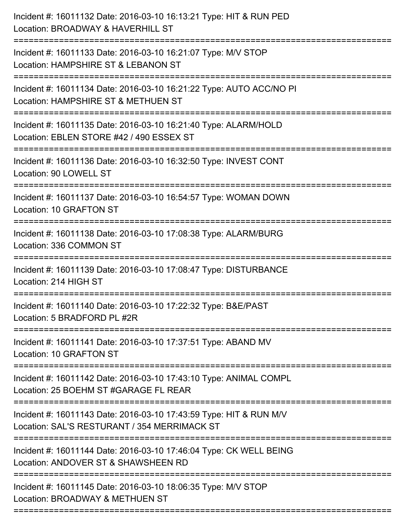| Incident #: 16011132 Date: 2016-03-10 16:13:21 Type: HIT & RUN PED<br>Location: BROADWAY & HAVERHILL ST                                    |
|--------------------------------------------------------------------------------------------------------------------------------------------|
| :==========================<br>Incident #: 16011133 Date: 2016-03-10 16:21:07 Type: M/V STOP<br>Location: HAMPSHIRE ST & LEBANON ST        |
| Incident #: 16011134 Date: 2016-03-10 16:21:22 Type: AUTO ACC/NO PI<br>Location: HAMPSHIRE ST & METHUEN ST                                 |
| Incident #: 16011135 Date: 2016-03-10 16:21:40 Type: ALARM/HOLD<br>Location: EBLEN STORE #42 / 490 ESSEX ST                                |
| Incident #: 16011136 Date: 2016-03-10 16:32:50 Type: INVEST CONT<br>Location: 90 LOWELL ST                                                 |
| Incident #: 16011137 Date: 2016-03-10 16:54:57 Type: WOMAN DOWN<br>Location: 10 GRAFTON ST                                                 |
| Incident #: 16011138 Date: 2016-03-10 17:08:38 Type: ALARM/BURG<br>Location: 336 COMMON ST<br>:===============================             |
| Incident #: 16011139 Date: 2016-03-10 17:08:47 Type: DISTURBANCE<br>Location: 214 HIGH ST                                                  |
| Incident #: 16011140 Date: 2016-03-10 17:22:32 Type: B&E/PAST<br>Location: 5 BRADFORD PL #2R                                               |
| Incident #: 16011141 Date: 2016-03-10 17:37:51 Type: ABAND MV<br>Location: 10 GRAFTON ST                                                   |
| Incident #: 16011142 Date: 2016-03-10 17:43:10 Type: ANIMAL COMPL<br>Location: 25 BOEHM ST #GARAGE FL REAR                                 |
| Incident #: 16011143 Date: 2016-03-10 17:43:59 Type: HIT & RUN M/V<br>Location: SAL'S RESTURANT / 354 MERRIMACK ST                         |
| Incident #: 16011144 Date: 2016-03-10 17:46:04 Type: CK WELL BEING<br>Location: ANDOVER ST & SHAWSHEEN RD                                  |
| ======================================<br>Incident #: 16011145 Date: 2016-03-10 18:06:35 Type: M/V STOP<br>Location: BROADWAY & METHUEN ST |
|                                                                                                                                            |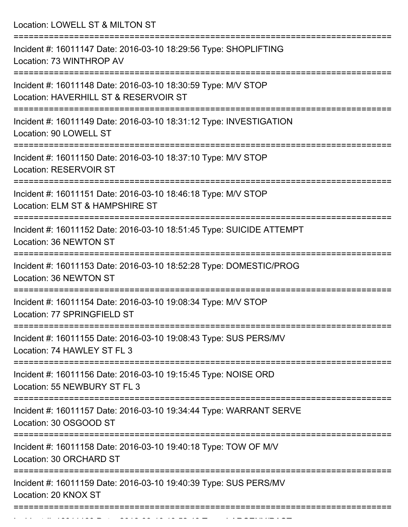Location: LOWELL ST & MILTON ST =========================================================================== Incident #: 16011147 Date: 2016-03-10 18:29:56 Type: SHOPLIFTING Location: 73 WINTHROP AV =========================================================================== Incident #: 16011148 Date: 2016-03-10 18:30:59 Type: M/V STOP Location: HAVERHILL ST & RESERVOIR ST =========================================================================== Incident #: 16011149 Date: 2016-03-10 18:31:12 Type: INVESTIGATION Location: 90 LOWELL ST =========================================================================== Incident #: 16011150 Date: 2016-03-10 18:37:10 Type: M/V STOP Location: RESERVOIR ST =========================================================================== Incident #: 16011151 Date: 2016-03-10 18:46:18 Type: M/V STOP Location: ELM ST & HAMPSHIRE ST =========================================================================== Incident #: 16011152 Date: 2016-03-10 18:51:45 Type: SUICIDE ATTEMPT Location: 36 NEWTON ST =========================================================================== Incident #: 16011153 Date: 2016-03-10 18:52:28 Type: DOMESTIC/PROG Location: 36 NEWTON ST =========================================================================== Incident #: 16011154 Date: 2016-03-10 19:08:34 Type: M/V STOP Location: 77 SPRINGFIELD ST =========================================================================== Incident #: 16011155 Date: 2016-03-10 19:08:43 Type: SUS PERS/MV Location: 74 HAWLEY ST FL 3 =========================================================================== Incident #: 16011156 Date: 2016-03-10 19:15:45 Type: NOISE ORD Location: 55 NEWBURY ST FL 3 =========================================================================== Incident #: 16011157 Date: 2016-03-10 19:34:44 Type: WARRANT SERVE Location: 30 OSGOOD ST =========================================================================== Incident #: 16011158 Date: 2016-03-10 19:40:18 Type: TOW OF M/V Location: 30 ORCHARD ST =========================================================================== Incident #: 16011159 Date: 2016-03-10 19:40:39 Type: SUS PERS/MV Location: 20 KNOX ST ===========================================================================

Incident #: 16011160 Date: 2016 03 10 19:52:48 Type: LARCENY/PAST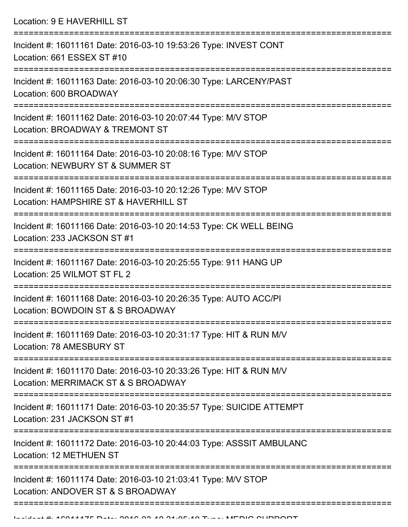Location: 9 E HAVERHILL ST =========================================================================== Incident #: 16011161 Date: 2016-03-10 19:53:26 Type: INVEST CONT Location: 661 ESSEX ST #10 =========================================================================== Incident #: 16011163 Date: 2016-03-10 20:06:30 Type: LARCENY/PAST Location: 600 BROADWAY =========================================================================== Incident #: 16011162 Date: 2016-03-10 20:07:44 Type: M/V STOP Location: BROADWAY & TREMONT ST =========================================================================== Incident #: 16011164 Date: 2016-03-10 20:08:16 Type: M/V STOP Location: NEWBURY ST & SUMMER ST =========================================================================== Incident #: 16011165 Date: 2016-03-10 20:12:26 Type: M/V STOP Location: HAMPSHIRE ST & HAVERHILL ST =========================================================================== Incident #: 16011166 Date: 2016-03-10 20:14:53 Type: CK WELL BEING Location: 233 JACKSON ST #1 =========================================================================== Incident #: 16011167 Date: 2016-03-10 20:25:55 Type: 911 HANG UP Location: 25 WILMOT ST FL 2 =========================================================================== Incident #: 16011168 Date: 2016-03-10 20:26:35 Type: AUTO ACC/PI Location: BOWDOIN ST & S BROADWAY =========================================================================== Incident #: 16011169 Date: 2016-03-10 20:31:17 Type: HIT & RUN M/V Location: 78 AMESBURY ST =========================================================================== Incident #: 16011170 Date: 2016-03-10 20:33:26 Type: HIT & RUN M/V Location: MERRIMACK ST & S BROADWAY =========================================================================== Incident #: 16011171 Date: 2016-03-10 20:35:57 Type: SUICIDE ATTEMPT Location: 231 JACKSON ST #1 =========================================================================== Incident #: 16011172 Date: 2016-03-10 20:44:03 Type: ASSSIT AMBULANC Location: 12 METHUEN ST =========================================================================== Incident #: 16011174 Date: 2016-03-10 21:03:41 Type: M/V STOP Location: ANDOVER ST & S BROADWAY ===========================================================================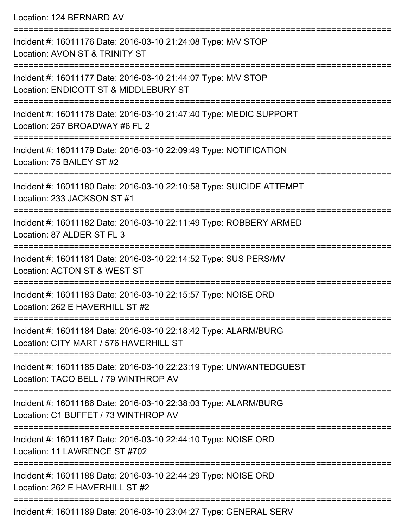Location: 124 BERNARD AV

=========================================================================== Incident #: 16011176 Date: 2016-03-10 21:24:08 Type: M/V STOP Location: AVON ST & TRINITY ST =========================================================================== Incident #: 16011177 Date: 2016-03-10 21:44:07 Type: M/V STOP Location: ENDICOTT ST & MIDDLEBURY ST =========================================================================== Incident #: 16011178 Date: 2016-03-10 21:47:40 Type: MEDIC SUPPORT Location: 257 BROADWAY #6 FL 2 =========================================================================== Incident #: 16011179 Date: 2016-03-10 22:09:49 Type: NOTIFICATION Location: 75 BAILEY ST #2 =========================================================================== Incident #: 16011180 Date: 2016-03-10 22:10:58 Type: SUICIDE ATTEMPT Location: 233 JACKSON ST #1 =========================================================================== Incident #: 16011182 Date: 2016-03-10 22:11:49 Type: ROBBERY ARMED Location: 87 ALDER ST FL 3 =========================================================================== Incident #: 16011181 Date: 2016-03-10 22:14:52 Type: SUS PERS/MV Location: ACTON ST & WEST ST =========================================================================== Incident #: 16011183 Date: 2016-03-10 22:15:57 Type: NOISE ORD Location: 262 E HAVERHILL ST #2 =========================================================================== Incident #: 16011184 Date: 2016-03-10 22:18:42 Type: ALARM/BURG Location: CITY MART / 576 HAVERHILL ST =========================================================================== Incident #: 16011185 Date: 2016-03-10 22:23:19 Type: UNWANTEDGUEST Location: TACO BELL / 79 WINTHROP AV =========================================================================== Incident #: 16011186 Date: 2016-03-10 22:38:03 Type: ALARM/BURG Location: C1 BUFFET / 73 WINTHROP AV =========================================================================== Incident #: 16011187 Date: 2016-03-10 22:44:10 Type: NOISE ORD Location: 11 LAWRENCE ST #702 =========================================================================== Incident #: 16011188 Date: 2016-03-10 22:44:29 Type: NOISE ORD Location: 262 F HAVERHILL ST #2 ===========================================================================

Incident #: 16011189 Date: 2016-03-10 23:04:27 Type: GENERAL SERV